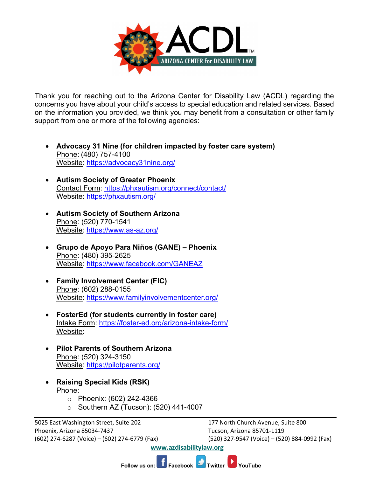

Thank you for reaching out to the Arizona Center for Disability Law (ACDL) regarding the concerns you have about your child's access to special education and related services. Based on the information you provided, we think you may benefit from a consultation or other family support from one or more of the following agencies:

- **Advocacy 31 Nine (for children impacted by foster care system)** Phone: (480) 757-4100 Website: <https://advocacy31nine.org/>
- **Autism Society of Greater Phoenix** Contact Form:<https://phxautism.org/connect/contact/> Website:<https://phxautism.org/>
- **Autism Society of Southern Arizona** Phone: (520) 770-1541 Website:<https://www.as-az.org/>
- **Grupo de Apoyo Para Niños (GANE) – Phoenix**  Phone: (480) 395-2625 Website:<https://www.facebook.com/GANEAZ>
- **Family Involvement Center (FIC)** Phone: (602) 288-0155 Website:<https://www.familyinvolvementcenter.org/>
- **FosterEd (for students currently in foster care)** Intake Form:<https://foster-ed.org/arizona-intake-form/> Website:
- **Pilot Parents of Southern Arizona** Phone: (520) 324-3150 Website:<https://pilotparents.org/>
- **Raising Special Kids (RSK)** Phone:
	- o Phoenix: (602) 242-4366
	- o Southern AZ (Tucson): (520) 441-4007

5025 East Washington Street, Suite 202 177 North Church Avenue, Suite 800 Phoenix, Arizona 85034-7437 Tucson, Arizona 85701-1119 (602) 274-6287 (Voice) – (602) 274-6779 (Fax) (520) 327-9547 (Voice) – (520) 884-0992 (Fax)

**[www.azdisabilitylaw.org](http://www.azdisabilitylaw.org/)**

**Follow us on: Facebook Twitter YouTube**